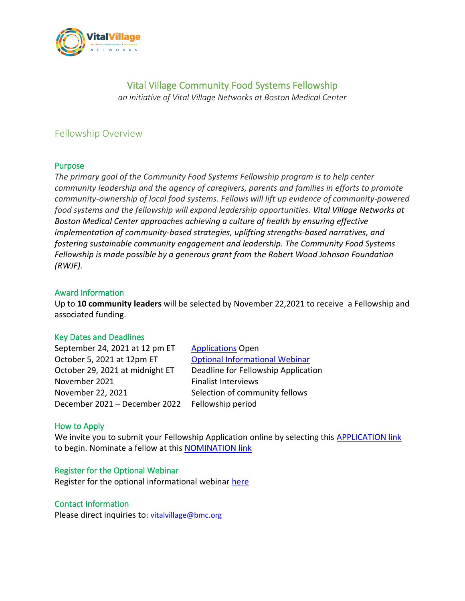

# Vital Village Community Food Systems Fellowship

*an initiative of Vital Village Networks at Boston Medical Center*

## Fellowship Overview

### Purpose

*The primary goal of the Community Food Systems Fellowship program is to help center community leadership and the agency of caregivers, parents and families in efforts to promote community-ownership of local food systems. Fellows will lift up evidence of community-powered food systems and the fellowship will expand leadership opportunities. Vital Village Networks at Boston Medical Center approaches achieving a culture of health by ensuring effective implementation of community-based strategies, uplifting strengths-based narratives, and fostering sustainable community engagement and leadership. The Community Food Systems Fellowship is made possible by a generous grant from the Robert Wood Johnson Foundation (RWJF).*

### Award Information

Up to **10 community leaders** will be selected by November 22,2021 to receive a Fellowship and associated funding.

#### Key Dates and Deadlines

September 24, 2021 at 12 pm ET [Applications](https://www.tfaforms.com/4934099) Open October 5, 2021 at 12pm ET [Optional Informational Webinar](https://bostonmedicalcenter.zoom.us/webinar/register/WN_Mw5OyhfATpSg4ZGllT7r9g) October 29, 2021 at midnight ET Deadline for Fellowship Application November 2021 Finalist Interviews November 22, 2021 Selection of community fellows December 2021 – December 2022 Fellowship period

#### How to Apply

We invite you to submit your Fellowship Application online by selecting this [APPLICATION link](https://www.tfaforms.com/4934099) to begin. Nominate a fellow at this [NOMINATION link](https://www.tfaforms.com/4933067)

#### Register for the Optional Webinar

Register for the optional informational webinar [here](https://bostonmedicalcenter.zoom.us/webinar/register/WN_Mw5OyhfATpSg4ZGllT7r9g)

#### Contact Information

Please direct inquiries to: [vitalvillage@bmc.org](mailto:vitalvillage@bmc.org)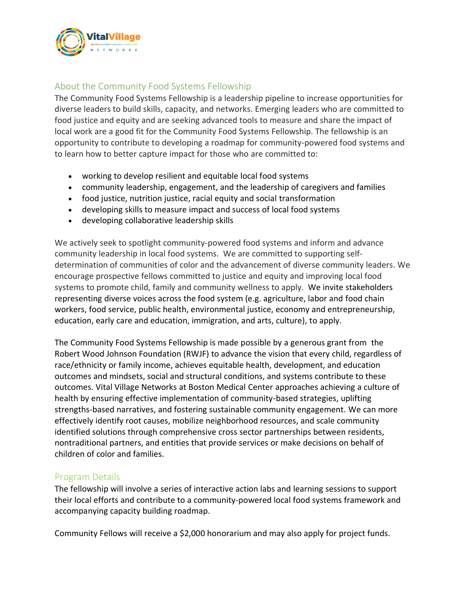

## About the Community Food Systems Fellowship

The Community Food Systems Fellowship is a leadership pipeline to increase opportunities for diverse leaders to build skills, capacity, and networks. Emerging leaders who are committed to food justice and equity and are seeking advanced tools to measure and share the impact of local work are a good fit for the Community Food Systems Fellowship. The fellowship is an opportunity to contribute to developing a roadmap for community-powered food systems and to learn how to better capture impact for those who are committed to:

- working to develop resilient and equitable local food systems
- community leadership, engagement, and the leadership of caregivers and families
- food justice, nutrition justice, racial equity and social transformation
- developing skills to measure impact and success of local food systems
- developing collaborative leadership skills

We actively seek to spotlight community-powered food systems and inform and advance community leadership in local food systems. We are committed to supporting selfdetermination of communities of color and the advancement of diverse community leaders. We encourage prospective fellows committed to justice and equity and improving local food systems to promote child, family and community wellness to apply. We invite stakeholders representing diverse voices across the food system (e.g. agriculture, labor and food chain workers, food service, public health, environmental justice, economy and entrepreneurship, education, early care and education, immigration, and arts, culture), to apply.

The Community Food Systems Fellowship is made possible by a generous grant from the Robert Wood Johnson Foundation (RWJF) to advance the vision that every child, regardless of race/ethnicity or family income, achieves equitable health, development, and education outcomes and mindsets, social and structural conditions, and systems contribute to these outcomes. Vital Village Networks at Boston Medical Center approaches achieving a culture of health by ensuring effective implementation of community-based strategies, uplifting strengths-based narratives, and fostering sustainable community engagement. We can more effectively identify root causes, mobilize neighborhood resources, and scale community identified solutions through comprehensive cross sector partnerships between residents, nontraditional partners, and entities that provide services or make decisions on behalf of children of color and families.

#### Program Details

The fellowship will involve a series of interactive action labs and learning sessions to support their local efforts and contribute to a community-powered local food systems framework and accompanying capacity building roadmap.

Community Fellows will receive a \$2,000 honorarium and may also apply for project funds.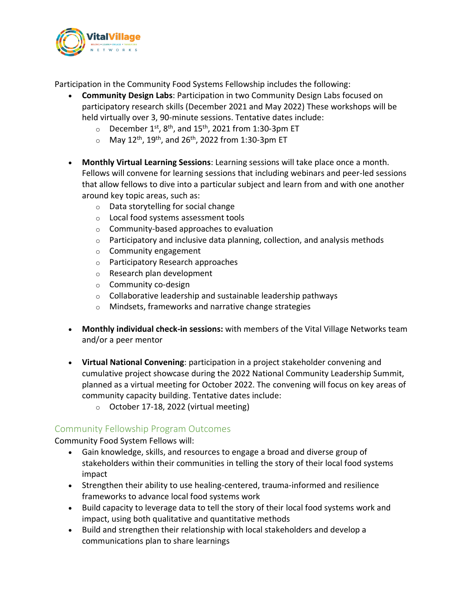

Participation in the Community Food Systems Fellowship includes the following:

- **Community Design Labs**: Participation in two Community Design Labs focused on participatory research skills (December 2021 and May 2022) These workshops will be held virtually over 3, 90-minute sessions. Tentative dates include:
	- $\circ$  December 1<sup>st</sup>, 8<sup>th</sup>, and 15<sup>th</sup>, 2021 from 1:30-3pm ET
	- $\circ$  May 12<sup>th</sup>, 19<sup>th</sup>, and 26<sup>th</sup>, 2022 from 1:30-3pm ET
- **Monthly Virtual Learning Sessions**: Learning sessions will take place once a month. Fellows will convene for learning sessions that including webinars and peer-led sessions that allow fellows to dive into a particular subject and learn from and with one another around key topic areas, such as:
	- o Data storytelling for social change
	- o Local food systems assessment tools
	- o Community-based approaches to evaluation
	- $\circ$  Participatory and inclusive data planning, collection, and analysis methods
	- o Community engagement
	- o Participatory Research approaches
	- o Research plan development
	- o Community co-design
	- $\circ$  Collaborative leadership and sustainable leadership pathways
	- o Mindsets, frameworks and narrative change strategies
- **Monthly individual check-in sessions:** with members of the Vital Village Networks team and/or a peer mentor
- **Virtual National Convening**: participation in a project stakeholder convening and cumulative project showcase during the 2022 National Community Leadership Summit, planned as a virtual meeting for October 2022. The convening will focus on key areas of community capacity building. Tentative dates include:
	- $\circ$  October 17-18, 2022 (virtual meeting)

## Community Fellowship Program Outcomes

Community Food System Fellows will:

- Gain knowledge, skills, and resources to engage a broad and diverse group of stakeholders within their communities in telling the story of their local food systems impact
- Strengthen their ability to use healing-centered, trauma-informed and resilience frameworks to advance local food systems work
- Build capacity to leverage data to tell the story of their local food systems work and impact, using both qualitative and quantitative methods
- Build and strengthen their relationship with local stakeholders and develop a communications plan to share learnings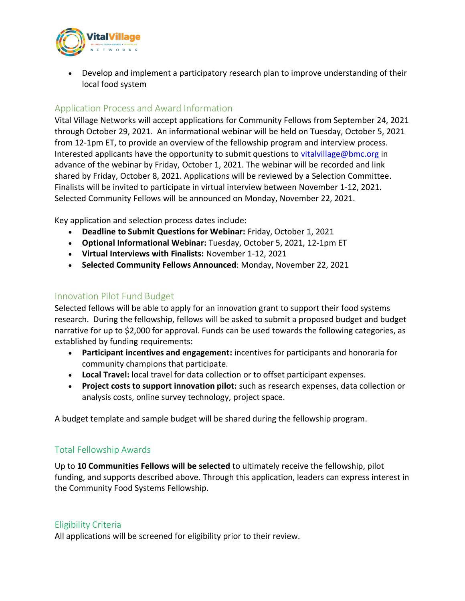

• Develop and implement a participatory research plan to improve understanding of their local food system

## Application Process and Award Information

Vital Village Networks will accept applications for Community Fellows from September 24, 2021 through October 29, 2021. An informational webinar will be held on Tuesday, October 5, 2021 from 12-1pm ET, to provide an overview of the fellowship program and interview process. Interested applicants have the opportunity to submit questions to [vitalvillage@bmc.org](mailto:vitalvillage@bmc.org) in advance of the webinar by Friday, October 1, 2021. The webinar will be recorded and link shared by Friday, October 8, 2021. Applications will be reviewed by a Selection Committee. Finalists will be invited to participate in virtual interview between November 1-12, 2021. Selected Community Fellows will be announced on Monday, November 22, 2021.

Key application and selection process dates include:

- **Deadline to Submit Questions for Webinar:** Friday, October 1, 2021
- **Optional Informational Webinar:** Tuesday, October 5, 2021, 12-1pm ET
- **Virtual Interviews with Finalists:** November 1-12, 2021
- **Selected Community Fellows Announced**: Monday, November 22, 2021

### Innovation Pilot Fund Budget

Selected fellows will be able to apply for an innovation grant to support their food systems research. During the fellowship, fellows will be asked to submit a proposed budget and budget narrative for up to \$2,000 for approval. Funds can be used towards the following categories, as established by funding requirements:

- **Participant incentives and engagement:** incentives for participants and honoraria for community champions that participate.
- **Local Travel:** local travel for data collection or to offset participant expenses.
- **Project costs to support innovation pilot:** such as research expenses, data collection or analysis costs, online survey technology, project space.

A budget template and sample budget will be shared during the fellowship program.

### Total Fellowship Awards

Up to **10 Communities Fellows will be selected** to ultimately receive the fellowship, pilot funding, and supports described above. Through this application, leaders can express interest in the Community Food Systems Fellowship.

#### Eligibility Criteria

All applications will be screened for eligibility prior to their review.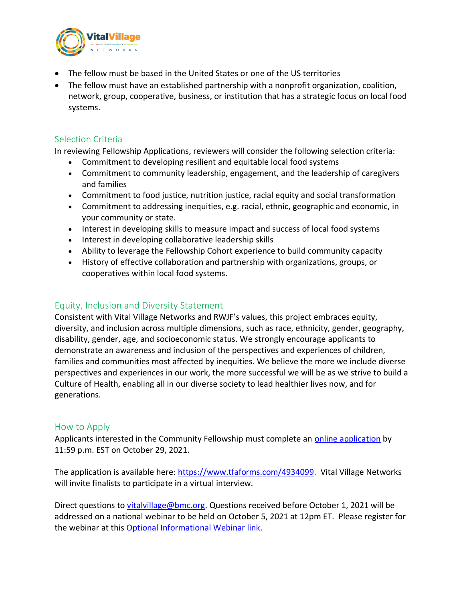

- The fellow must be based in the United States or one of the US territories
- The fellow must have an established partnership with a nonprofit organization, coalition, network, group, cooperative, business, or institution that has a strategic focus on local food systems.

### Selection Criteria

In reviewing Fellowship Applications, reviewers will consider the following selection criteria:

- Commitment to developing resilient and equitable local food systems
- Commitment to community leadership, engagement, and the leadership of caregivers and families
- Commitment to food justice, nutrition justice, racial equity and social transformation
- Commitment to addressing inequities, e.g. racial, ethnic, geographic and economic, in your community or state.
- Interest in developing skills to measure impact and success of local food systems
- Interest in developing collaborative leadership skills
- Ability to leverage the Fellowship Cohort experience to build community capacity
- History of effective collaboration and partnership with organizations, groups, or cooperatives within local food systems.

### Equity, Inclusion and Diversity Statement

Consistent with Vital Village Networks and RWJF's values, this project embraces equity, diversity, and inclusion across multiple dimensions, such as race, ethnicity, gender, geography, disability, gender, age, and socioeconomic status. We strongly encourage applicants to demonstrate an awareness and inclusion of the perspectives and experiences of children, families and communities most affected by inequities. We believe the more we include diverse perspectives and experiences in our work, the more successful we will be as we strive to build a Culture of Health, enabling all in our diverse society to lead healthier lives now, and for generations.

### How to Apply

Applicants interested in the Community Fellowship must complete an [online application](https://www.tfaforms.com/4934099) by 11:59 p.m. EST on October 29, 2021.

The application is available here: [https://www.tfaforms.com/4934099.](https://www.tfaforms.com/4934099) Vital Village Networks will invite finalists to participate in a virtual interview.

Direct questions to [vitalvillage@bmc.org.](mailto:vitalvillage@bmc.org) Questions received before October 1, 2021 will be addressed on a national webinar to be held on October 5, 2021 at 12pm ET. Please register for the webinar at this [Optional Informational Webinar link.](https://bostonmedicalcenter.zoom.us/webinar/register/WN_Mw5OyhfATpSg4ZGllT7r9g)